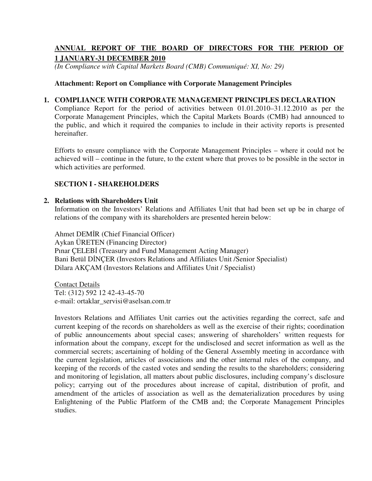# **ANNUAL REPORT OF THE BOARD OF DIRECTORS FOR THE PERIOD OF 1 JANUARY-31 DECEMBER 2010**

*(In Compliance with Capital Markets Board (CMB) Communiqué: XI, No: 29)* 

## **Attachment: Report on Compliance with Corporate Management Principles**

### **1. COMPLIANCE WITH CORPORATE MANAGEMENT PRINCIPLES DECLARATION**

Compliance Report for the period of activities between 01.01.2010–31.12.2010 as per the Corporate Management Principles, which the Capital Markets Boards (CMB) had announced to the public, and which it required the companies to include in their activity reports is presented hereinafter.

Efforts to ensure compliance with the Corporate Management Principles – where it could not be achieved will – continue in the future, to the extent where that proves to be possible in the sector in which activities are performed.

## **SECTION I - SHAREHOLDERS**

#### **2. Relations with Shareholders Unit**

Information on the Investors' Relations and Affiliates Unit that had been set up be in charge of relations of the company with its shareholders are presented herein below:

Ahmet DEMR (Chief Financial Officer) Aykan ÜRETEN (Financing Director) Pinar CELEBI (Treasury and Fund Management Acting Manager) Bani Betül DİNÇER (Investors Relations and Affiliates Unit /Senior Specialist) Dilara AKÇAM (Investors Relations and Affiliates Unit / Specialist)

Contact Details Tel: (312) 592 12 42-43-45-70 e-mail: ortaklar\_servisi@aselsan.com.tr

Investors Relations and Affiliates Unit carries out the activities regarding the correct, safe and current keeping of the records on shareholders as well as the exercise of their rights; coordination of public announcements about special cases; answering of shareholders' written requests for information about the company, except for the undisclosed and secret information as well as the commercial secrets; ascertaining of holding of the General Assembly meeting in accordance with the current legislation, articles of associations and the other internal rules of the company, and keeping of the records of the casted votes and sending the results to the shareholders; considering and monitoring of legislation, all matters about public disclosures, including company's disclosure policy; carrying out of the procedures about increase of capital, distribution of profit, and amendment of the articles of association as well as the dematerialization procedures by using Enlightening of the Public Platform of the CMB and; the Corporate Management Principles studies.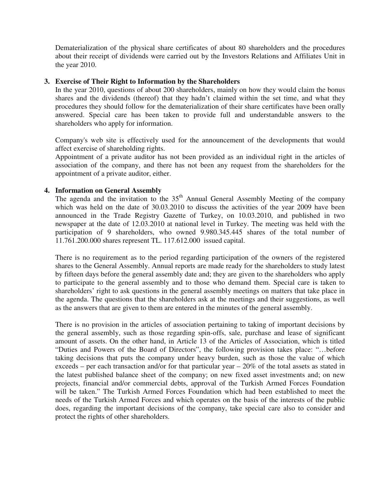Dematerialization of the physical share certificates of about 80 shareholders and the procedures about their receipt of dividends were carried out by the Investors Relations and Affiliates Unit in the year 2010.

## **3. Exercise of Their Right to Information by the Shareholders**

In the year 2010, questions of about 200 shareholders, mainly on how they would claim the bonus shares and the dividends (thereof) that they hadn't claimed within the set time, and what they procedures they should follow for the dematerialization of their share certificates have been orally answered. Special care has been taken to provide full and understandable answers to the shareholders who apply for information.

Company's web site is effectively used for the announcement of the developments that would affect exercise of shareholding rights.

Appointment of a private auditor has not been provided as an individual right in the articles of association of the company, and there has not been any request from the shareholders for the appointment of a private auditor, either.

## **4. Information on General Assembly**

The agenda and the invitation to the  $35<sup>th</sup>$  Annual General Assembly Meeting of the company which was held on the date of 30.03.2010 to discuss the activities of the year 2009 have been announced in the Trade Registry Gazette of Turkey, on 10.03.2010, and published in two newspaper at the date of 12.03.2010 at national level in Turkey. The meeting was held with the participation of 9 shareholders, who owned 9.980.345.445 shares of the total number of 11.761.200.000 shares represent TL. 117.612.000 issued capital.

There is no requirement as to the period regarding participation of the owners of the registered shares to the General Assembly. Annual reports are made ready for the shareholders to study latest by fifteen days before the general assembly date and; they are given to the shareholders who apply to participate to the general assembly and to those who demand them. Special care is taken to shareholders' right to ask questions in the general assembly meetings on matters that take place in the agenda. The questions that the shareholders ask at the meetings and their suggestions, as well as the answers that are given to them are entered in the minutes of the general assembly.

There is no provision in the articles of association pertaining to taking of important decisions by the general assembly, such as those regarding spin-offs, sale, purchase and lease of significant amount of assets. On the other hand, in Article 13 of the Articles of Association, which is titled "Duties and Powers of the Board of Directors", the following provision takes place: "…before taking decisions that puts the company under heavy burden, such as those the value of which exceeds – per each transaction and/or for that particular year  $-20\%$  of the total assets as stated in the latest published balance sheet of the company; on new fixed asset investments and; on new projects, financial and/or commercial debts, approval of the Turkish Armed Forces Foundation will be taken." The Turkish Armed Forces Foundation which had been established to meet the needs of the Turkish Armed Forces and which operates on the basis of the interests of the public does, regarding the important decisions of the company, take special care also to consider and protect the rights of other shareholders.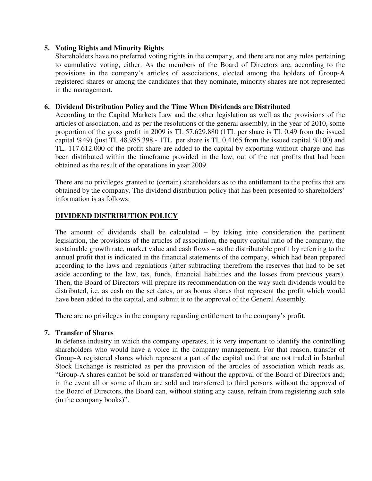## **5. Voting Rights and Minority Rights**

Shareholders have no preferred voting rights in the company, and there are not any rules pertaining to cumulative voting, either. As the members of the Board of Directors are, according to the provisions in the company's articles of associations, elected among the holders of Group-A registered shares or among the candidates that they nominate, minority shares are not represented in the management.

## **6. Dividend Distribution Policy and the Time When Dividends are Distributed**

According to the Capital Markets Law and the other legislation as well as the provisions of the articles of association, and as per the resolutions of the general assembly, in the year of 2010, some proportion of the gross profit in 2009 is TL 57.629.880 (1TL per share is TL 0,49 from the issued capital %49) (just TL 48.985.398 - 1TL per share is TL 0,4165 from the issued capital %100) and TL. 117.612.000 of the profit share are added to the capital by exporting without charge and has been distributed within the timeframe provided in the law, out of the net profits that had been obtained as the result of the operations in year 2009.

There are no privileges granted to (certain) shareholders as to the entitlement to the profits that are obtained by the company. The dividend distribution policy that has been presented to shareholders' information is as follows:

## **DIVIDEND DISTRIBUTION POLICY**

The amount of dividends shall be calculated – by taking into consideration the pertinent legislation, the provisions of the articles of association, the equity capital ratio of the company, the sustainable growth rate, market value and cash flows – as the distributable profit by referring to the annual profit that is indicated in the financial statements of the company, which had been prepared according to the laws and regulations (after subtracting therefrom the reserves that had to be set aside according to the law, tax, funds, financial liabilities and the losses from previous years). Then, the Board of Directors will prepare its recommendation on the way such dividends would be distributed, i.e. as cash on the set dates, or as bonus shares that represent the profit which would have been added to the capital, and submit it to the approval of the General Assembly.

There are no privileges in the company regarding entitlement to the company's profit.

## **7. Transfer of Shares**

In defense industry in which the company operates, it is very important to identify the controlling shareholders who would have a voice in the company management. For that reason, transfer of Group-A registered shares which represent a part of the capital and that are not traded in Istanbul Stock Exchange is restricted as per the provision of the articles of association which reads as, "Group-A shares cannot be sold or transferred without the approval of the Board of Directors and; in the event all or some of them are sold and transferred to third persons without the approval of the Board of Directors, the Board can, without stating any cause, refrain from registering such sale (in the company books)".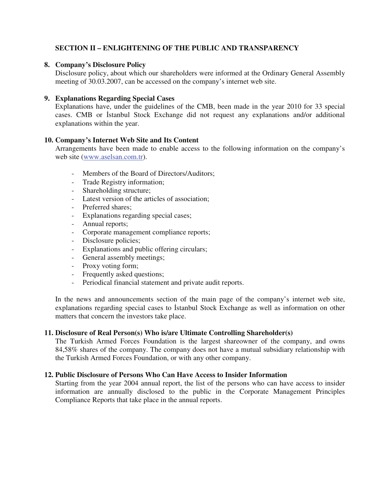# **SECTION II – ENLIGHTENING OF THE PUBLIC AND TRANSPARENCY**

## **8. Company's Disclosure Policy**

Disclosure policy, about which our shareholders were informed at the Ordinary General Assembly meeting of 30.03.2007, can be accessed on the company's internet web site.

## **9. Explanations Regarding Special Cases**

Explanations have, under the guidelines of the CMB, been made in the year 2010 for 33 special cases. CMB or Istanbul Stock Exchange did not request any explanations and/or additional explanations within the year.

## **10. Company's Internet Web Site and Its Content**

Arrangements have been made to enable access to the following information on the company's web site (www.aselsan.com.tr).

- Members of the Board of Directors/Auditors;
- Trade Registry information;
- Shareholding structure;
- Latest version of the articles of association;
- Preferred shares;
- Explanations regarding special cases;
- Annual reports;
- Corporate management compliance reports;
- Disclosure policies;
- Explanations and public offering circulars;
- General assembly meetings;
- Proxy voting form;
- Frequently asked questions;
- Periodical financial statement and private audit reports.

In the news and announcements section of the main page of the company's internet web site, explanations regarding special cases to Istanbul Stock Exchange as well as information on other matters that concern the investors take place.

## **11. Disclosure of Real Person(s) Who is/are Ultimate Controlling Shareholder(s)**

The Turkish Armed Forces Foundation is the largest shareowner of the company, and owns 84,58% shares of the company. The company does not have a mutual subsidiary relationship with the Turkish Armed Forces Foundation, or with any other company.

## **12. Public Disclosure of Persons Who Can Have Access to Insider Information**

Starting from the year 2004 annual report, the list of the persons who can have access to insider information are annually disclosed to the public in the Corporate Management Principles Compliance Reports that take place in the annual reports.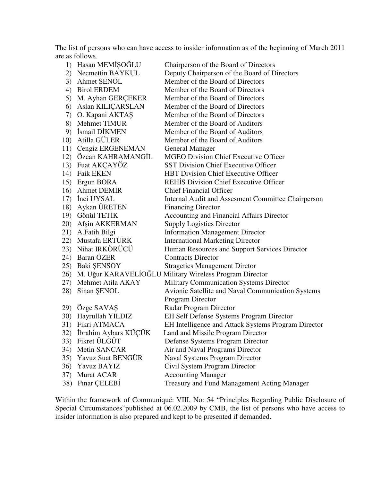The list of persons who can have access to insider information as of the beginning of March 2011 are as follows.

|     | 1) Hasan MEMIŞOĞLU       | Chairperson of the Board of Directors                       |
|-----|--------------------------|-------------------------------------------------------------|
|     | 2) Necmettin BAYKUL      | Deputy Chairperson of the Board of Directors                |
|     | 3) Ahmet ŞENOL           | Member of the Board of Directors                            |
|     | 4) Birol ERDEM           | Member of the Board of Directors                            |
| 5)  | M. Ayhan GERÇEKER        | Member of the Board of Directors                            |
|     | 6) Aslan KILIÇARSLAN     | Member of the Board of Directors                            |
|     | 7) O. Kapani AKTAŞ       | Member of the Board of Directors                            |
|     | 8) Mehmet TİMUR          | Member of the Board of Auditors                             |
|     | 9) Ismail DIKMEN         | Member of the Board of Auditors                             |
|     | 10) Atilla GÜLER         | Member of the Board of Auditors                             |
|     | 11) Cengiz ERGENEMAN     | <b>General Manager</b>                                      |
|     | 12) Özcan KAHRAMANGİL    | <b>MGEO Division Chief Executive Officer</b>                |
|     | 13) Fuat AKÇAYÖZ         | <b>SST Division Chief Executive Officer</b>                 |
|     | 14) Faik EKEN            | <b>HBT Division Chief Executive Officer</b>                 |
|     | 15) Ergun BORA           | <b>REHIS Division Chief Executive Officer</b>               |
|     | 16) Ahmet DEMIR          | <b>Chief Financial Officer</b>                              |
|     | 17) Inci UYSAL           | Internal Audit and Assesment Committee Chairperson          |
|     | 18) Aykan ÜRETEN         | <b>Financing Director</b>                                   |
|     | 19) Gönül TETİK          | <b>Accounting and Financial Affairs Director</b>            |
|     | 20) Afşin AKKERMAN       | <b>Supply Logistics Director</b>                            |
|     | 21) A.Fatih Bilgi        | <b>Information Management Director</b>                      |
|     | 22) Mustafa ERTÜRK       | <b>International Marketing Director</b>                     |
|     | 23) Nihat IRKÖRÜCÜ       | Human Resources and Support Services Director               |
|     | 24) Baran ÖZER           | <b>Contracts Director</b>                                   |
|     | 25) Baki ŞENSOY          | <b>Stragetics Management Dirctor</b>                        |
|     |                          | 26) M. Uğur KARAVELİOĞLU Military Wireless Program Director |
|     | 27) Mehmet Atila AKAY    | Military Communication Systems Director                     |
| 28) | Sinan ŞENOL              | Avionic Satellite and Naval Communication Systems           |
|     |                          | Program Director                                            |
|     | 29) Özge SAVAŞ           | Radar Program Director                                      |
|     | 30) Hayrullah YILDIZ     | EH Self Defense Systems Program Director                    |
|     | 31) Fikri ATMACA         | EH Intelligence and Attack Systems Program Director         |
|     | 32) İbrahim Aybars KÜÇÜK | Land and Missile Program Director                           |
|     | 33) Fikret ÜLGÜT         | Defense Systems Program Director                            |
| 34) | Metin SANCAR             | Air and Naval Programs Director                             |
| 35) | Yavuz Suat BENGÜR        | <b>Naval Systems Program Director</b>                       |
| 36) | Yavuz BAYIZ              | Civil System Program Director                               |
| 37) | Murat ACAR               | <b>Accounting Manager</b>                                   |
| 38) | Pinar CELEBI             | Treasury and Fund Management Acting Manager                 |

Within the framework of Communiqué: VIII, No: 54 "Principles Regarding Public Disclosure of Special Circumstances"published at 06.02.2009 by CMB, the list of persons who have access to insider information is also prepared and kept to be presented if demanded.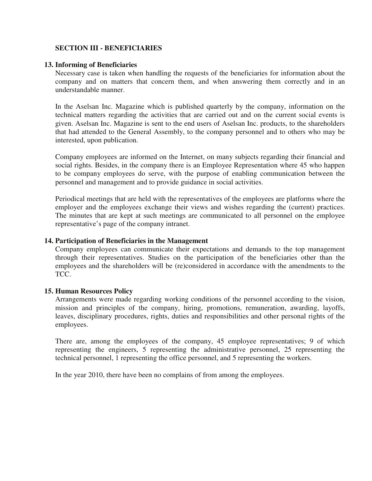## **SECTION III - BENEFICIARIES**

#### **13. Informing of Beneficiaries**

Necessary case is taken when handling the requests of the beneficiaries for information about the company and on matters that concern them, and when answering them correctly and in an understandable manner.

In the Aselsan Inc. Magazine which is published quarterly by the company, information on the technical matters regarding the activities that are carried out and on the current social events is given. Aselsan Inc. Magazine is sent to the end users of Aselsan Inc. products, to the shareholders that had attended to the General Assembly, to the company personnel and to others who may be interested, upon publication.

Company employees are informed on the Internet, on many subjects regarding their financial and social rights. Besides, in the company there is an Employee Representation where 45 who happen to be company employees do serve, with the purpose of enabling communication between the personnel and management and to provide guidance in social activities.

Periodical meetings that are held with the representatives of the employees are platforms where the employer and the employees exchange their views and wishes regarding the (current) practices. The minutes that are kept at such meetings are communicated to all personnel on the employee representative's page of the company intranet.

#### **14. Participation of Beneficiaries in the Management**

Company employees can communicate their expectations and demands to the top management through their representatives. Studies on the participation of the beneficiaries other than the employees and the shareholders will be (re)considered in accordance with the amendments to the TCC.

#### **15. Human Resources Policy**

Arrangements were made regarding working conditions of the personnel according to the vision, mission and principles of the company, hiring, promotions, remuneration, awarding, layoffs, leaves, disciplinary procedures, rights, duties and responsibilities and other personal rights of the employees.

There are, among the employees of the company, 45 employee representatives; 9 of which representing the engineers, 5 representing the administrative personnel, 25 representing the technical personnel, 1 representing the office personnel, and 5 representing the workers.

In the year 2010, there have been no complains of from among the employees.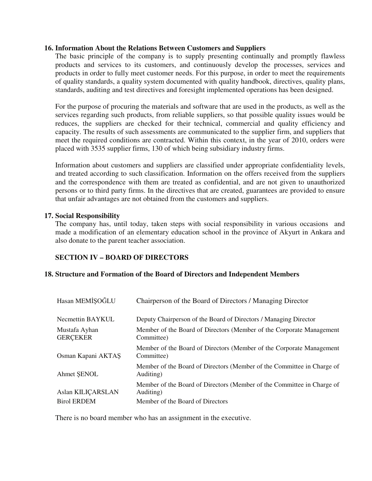### **16. Information About the Relations Between Customers and Suppliers**

The basic principle of the company is to supply presenting continually and promptly flawless products and services to its customers, and continuously develop the processes, services and products in order to fully meet customer needs. For this purpose, in order to meet the requirements of quality standards, a quality system documented with quality handbook, directives, quality plans, standards, auditing and test directives and foresight implemented operations has been designed.

For the purpose of procuring the materials and software that are used in the products, as well as the services regarding such products, from reliable suppliers, so that possible quality issues would be reduces, the suppliers are checked for their technical, commercial and quality efficiency and capacity. The results of such assessments are communicated to the supplier firm, and suppliers that meet the required conditions are contracted. Within this context, in the year of 2010, orders were placed with 3535 supplier firms, 130 of which being subsidiary industry firms.

Information about customers and suppliers are classified under appropriate confidentiality levels, and treated according to such classification. Information on the offers received from the suppliers and the correspondence with them are treated as confidential, and are not given to unauthorized persons or to third party firms. In the directives that are created, guarantees are provided to ensure that unfair advantages are not obtained from the customers and suppliers.

#### **17. Social Responsibility**

The company has, until today, taken steps with social responsibility in various occasions and made a modification of an elementary education school in the province of Akyurt in Ankara and also donate to the parent teacher association.

## **SECTION IV – BOARD OF DIRECTORS**

#### **18. Structure and Formation of the Board of Directors and Independent Members**

| Hasan MEMİŞOĞLU                  | Chairperson of the Board of Directors / Managing Director                           |
|----------------------------------|-------------------------------------------------------------------------------------|
| Necmettin BAYKUL                 | Deputy Chairperson of the Board of Directors / Managing Director                    |
| Mustafa Ayhan<br><b>GERCEKER</b> | Member of the Board of Directors (Member of the Corporate Management<br>Committee)  |
| Osman Kapani AKTAS               | Member of the Board of Directors (Member of the Corporate Management)<br>Committee) |
| Ahmet SENOL                      | Member of the Board of Directors (Member of the Committee in Charge of<br>Auditing) |
| Aslan KILIÇARSLAN                | Member of the Board of Directors (Member of the Committee in Charge of<br>Auditing) |
| <b>Birol ERDEM</b>               | Member of the Board of Directors                                                    |

There is no board member who has an assignment in the executive.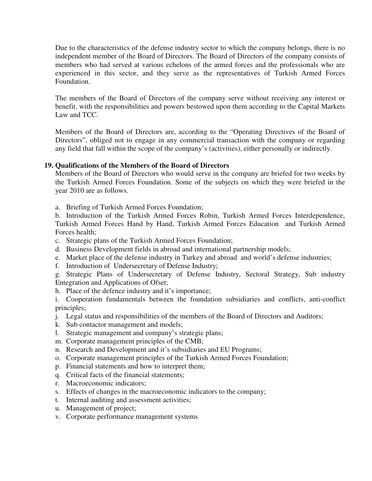Due to the characteristics of the defense industry sector to which the company belongs, there is no independent member of the Board of Directors. The Board of Directors of the company consists of members who had served at various echelons of the armed forces and the professionals who are experienced in this sector, and they serve as the representatives of Turkish Armed Forces Foundation.

The members of the Board of Directors of the company serve without receiving any interest or benefit, with the responsibilities and powers bestowed upon them according to the Capital Markets Law and TCC.

Members of the Board of Directors are, according to the "Operating Directives of the Board of Directors", obliged not to engage in any commercial transaction with the company or regarding any field that fall within the scope of the company's (activities), either personally or indirectly.

## **19. Qualifications of the Members of the Board of Directors**

Members of the Board of Directors who would serve in the company are briefed for two weeks by the Turkish Armed Forces Foundation. Some of the subjects on which they were briefed in the year 2010 are as follows.

a. Briefing of Turkish Armed Forces Foundation;

b. Introduction of the Turkish Armed Forces Robin, Turkish Armed Forces Interdependence, Turkish Armed Forces Hand by Hand, Turkish Armed Forces Education and Turkish Armed Forces health;

- c. Strategic plans of the Turkish Armed Forces Foundation;
- d. Business Development fields in abroad and international partnership models;
- e. Market place of the defense industry in Turkey and abroad and world's defense industries;
- f. Introduction of Undersecretary of Defense Industry;

g. Strategic Plans of Undersecretary of Defense Industry, Sectoral Strategy, Sub industry Entegration and Applications of Ofset;

h. Place of the defence industry and it's importance;

i. Cooperation fundamentals between the foundation subsidiaries and conflicts, anti-conflict principles;

- j. Legal status and responsibilities of the members of the Board of Directors and Auditors;
- k. Sub contactor management and models;
- l. Strategic management and company's strategic plans;
- m. Corporate management principles of the CMB;
- n. Research and Development and it's subsidiaries and EU Programs;
- o. Corporate management principles of the Turkish Armed Forces Foundation;
- p. Financial statements and how to interpret them;
- q. Critical facts of the financial statements;
- r. Macroeconomic indicators;
- s. Effects of changes in the macroeconomic indicators to the company;
- t. Internal auditing and assessment activities;
- u. Management of project;
- v. Corporate performance management systems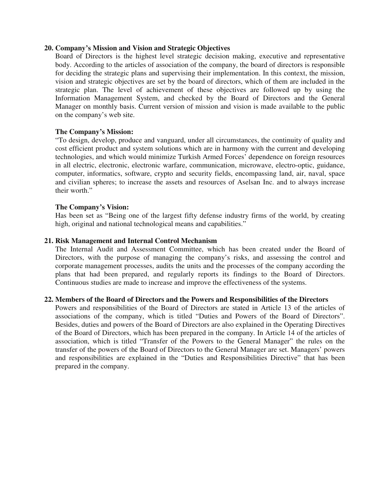#### **20. Company's Mission and Vision and Strategic Objectives**

Board of Directors is the highest level strategic decision making, executive and representative body. According to the articles of association of the company, the board of directors is responsible for deciding the strategic plans and supervising their implementation. In this context, the mission, vision and strategic objectives are set by the board of directors, which of them are included in the strategic plan. The level of achievement of these objectives are followed up by using the Information Management System, and checked by the Board of Directors and the General Manager on monthly basis. Current version of mission and vision is made available to the public on the company's web site.

## **The Company's Mission:**

"To design, develop, produce and vanguard, under all circumstances, the continuity of quality and cost efficient product and system solutions which are in harmony with the current and developing technologies, and which would minimize Turkish Armed Forces' dependence on foreign resources in all electric, electronic, electronic warfare, communication, microwave, electro-optic, guidance, computer, informatics, software, crypto and security fields, encompassing land, air, naval, space and civilian spheres; to increase the assets and resources of Aselsan Inc. and to always increase their worth."

## **The Company's Vision:**

Has been set as "Being one of the largest fifty defense industry firms of the world, by creating high, original and national technological means and capabilities."

#### **21. Risk Management and Internal Control Mechanism**

The Internal Audit and Assessment Committee, which has been created under the Board of Directors, with the purpose of managing the company's risks, and assessing the control and corporate management processes, audits the units and the processes of the company according the plans that had been prepared, and regularly reports its findings to the Board of Directors. Continuous studies are made to increase and improve the effectiveness of the systems.

#### **22. Members of the Board of Directors and the Powers and Responsibilities of the Directors**

Powers and responsibilities of the Board of Directors are stated in Article 13 of the articles of associations of the company, which is titled "Duties and Powers of the Board of Directors". Besides, duties and powers of the Board of Directors are also explained in the Operating Directives of the Board of Directors, which has been prepared in the company. In Article 14 of the articles of association, which is titled "Transfer of the Powers to the General Manager" the rules on the transfer of the powers of the Board of Directors to the General Manager are set. Managers' powers and responsibilities are explained in the "Duties and Responsibilities Directive" that has been prepared in the company.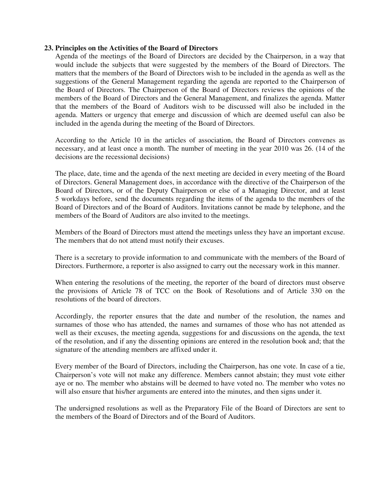#### **23. Principles on the Activities of the Board of Directors**

Agenda of the meetings of the Board of Directors are decided by the Chairperson, in a way that would include the subjects that were suggested by the members of the Board of Directors. The matters that the members of the Board of Directors wish to be included in the agenda as well as the suggestions of the General Management regarding the agenda are reported to the Chairperson of the Board of Directors. The Chairperson of the Board of Directors reviews the opinions of the members of the Board of Directors and the General Management, and finalizes the agenda. Matter that the members of the Board of Auditors wish to be discussed will also be included in the agenda. Matters or urgency that emerge and discussion of which are deemed useful can also be included in the agenda during the meeting of the Board of Directors.

According to the Article 10 in the articles of association, the Board of Directors convenes as necessary, and at least once a month. The number of meeting in the year 2010 was 26. (14 of the decisions are the recessional decisions)

The place, date, time and the agenda of the next meeting are decided in every meeting of the Board of Directors. General Management does, in accordance with the directive of the Chairperson of the Board of Directors, or of the Deputy Chairperson or else of a Managing Director, and at least 5 workdays before, send the documents regarding the items of the agenda to the members of the Board of Directors and of the Board of Auditors. Invitations cannot be made by telephone, and the members of the Board of Auditors are also invited to the meetings.

Members of the Board of Directors must attend the meetings unless they have an important excuse. The members that do not attend must notify their excuses.

There is a secretary to provide information to and communicate with the members of the Board of Directors. Furthermore, a reporter is also assigned to carry out the necessary work in this manner.

When entering the resolutions of the meeting, the reporter of the board of directors must observe the provisions of Article 78 of TCC on the Book of Resolutions and of Article 330 on the resolutions of the board of directors.

Accordingly, the reporter ensures that the date and number of the resolution, the names and surnames of those who has attended, the names and surnames of those who has not attended as well as their excuses, the meeting agenda, suggestions for and discussions on the agenda, the text of the resolution, and if any the dissenting opinions are entered in the resolution book and; that the signature of the attending members are affixed under it.

Every member of the Board of Directors, including the Chairperson, has one vote. In case of a tie, Chairperson's vote will not make any difference. Members cannot abstain; they must vote either aye or no. The member who abstains will be deemed to have voted no. The member who votes no will also ensure that his/her arguments are entered into the minutes, and then signs under it.

The undersigned resolutions as well as the Preparatory File of the Board of Directors are sent to the members of the Board of Directors and of the Board of Auditors.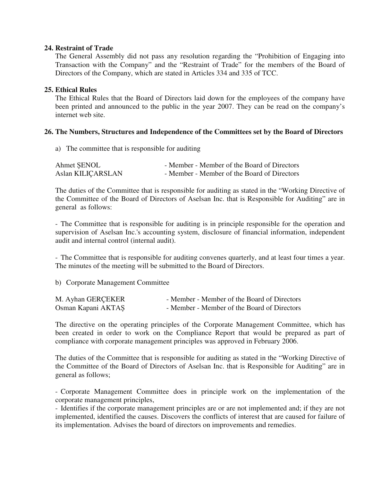### **24. Restraint of Trade**

The General Assembly did not pass any resolution regarding the "Prohibition of Engaging into Transaction with the Company" and the "Restraint of Trade" for the members of the Board of Directors of the Company, which are stated in Articles 334 and 335 of TCC.

## **25. Ethical Rules**

The Ethical Rules that the Board of Directors laid down for the employees of the company have been printed and announced to the public in the year 2007. They can be read on the company's internet web site.

## **26. The Numbers, Structures and Independence of the Committees set by the Board of Directors**

a) The committee that is responsible for auditing

| Ahmet ŞENOL       | - Member - Member of the Board of Directors |
|-------------------|---------------------------------------------|
| Aslan KILIÇARSLAN | - Member - Member of the Board of Directors |

The duties of the Committee that is responsible for auditing as stated in the "Working Directive of the Committee of the Board of Directors of Aselsan Inc. that is Responsible for Auditing" are in general as follows:

- The Committee that is responsible for auditing is in principle responsible for the operation and supervision of Aselsan Inc.'s accounting system, disclosure of financial information, independent audit and internal control (internal audit).

- The Committee that is responsible for auditing convenes quarterly, and at least four times a year. The minutes of the meeting will be submitted to the Board of Directors.

b) Corporate Management Committee

| M. Ayhan GERÇEKER  | - Member - Member of the Board of Directors |
|--------------------|---------------------------------------------|
| Osman Kapani AKTAŞ | - Member - Member of the Board of Directors |

The directive on the operating principles of the Corporate Management Committee, which has been created in order to work on the Compliance Report that would be prepared as part of compliance with corporate management principles was approved in February 2006.

The duties of the Committee that is responsible for auditing as stated in the "Working Directive of the Committee of the Board of Directors of Aselsan Inc. that is Responsible for Auditing" are in general as follows;

- Corporate Management Committee does in principle work on the implementation of the corporate management principles,

- Identifies if the corporate management principles are or are not implemented and; if they are not implemented, identified the causes. Discovers the conflicts of interest that are caused for failure of its implementation. Advises the board of directors on improvements and remedies.